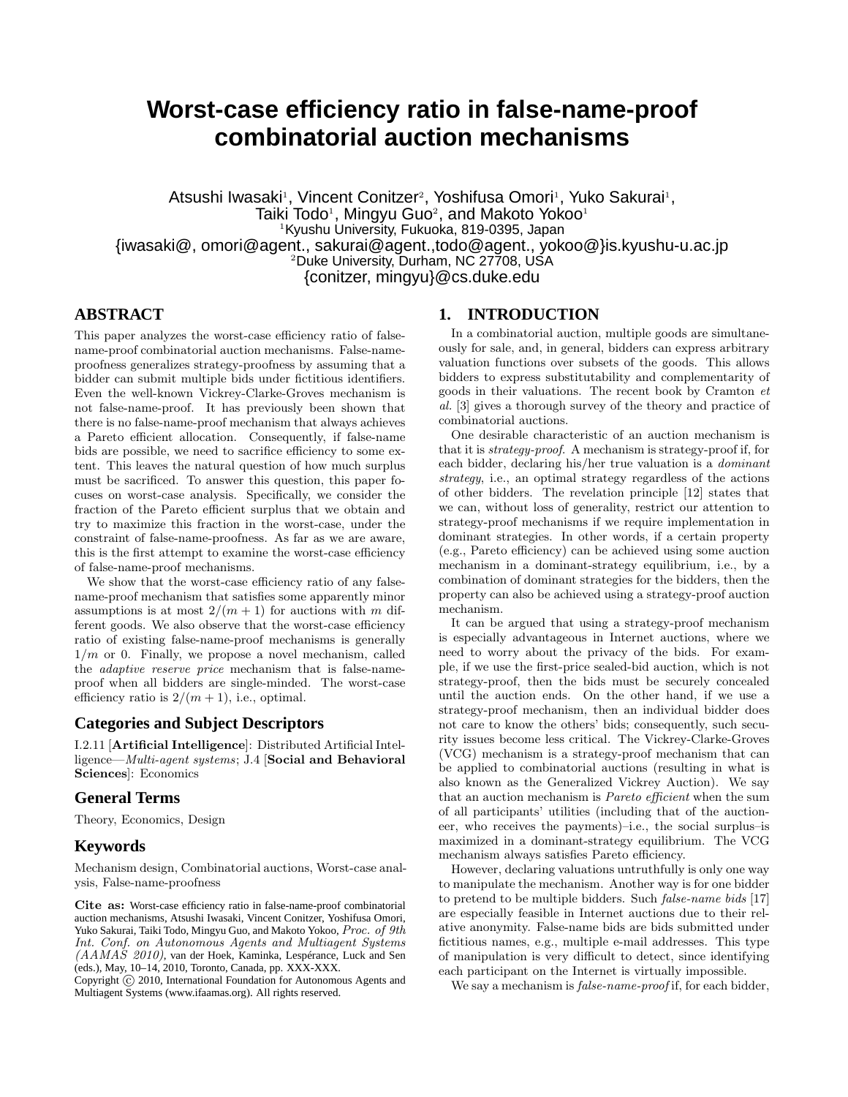# **Worst-case efficiency ratio in false-name-proof combinatorial auction mechanisms**

Atsushi Iwasaki<sup>1</sup>, Vincent Conitzer<sup>2</sup>, Yoshifusa Omori<sup>1</sup>, Yuko Sakurai<sup>1</sup>, Taiki Todo<sup>1</sup>, Mingyu Guo<sup>2</sup>, and Makoto Yokoo<sup>1</sup> <sup>1</sup>Kyushu University, Fukuoka, 819-0395, Japan {iwasaki@, omori@agent., sakurai@agent.,todo@agent., yokoo@}is.kyushu-u.ac.jp <sup>2</sup>Duke University, Durham, NC 27708, USA {conitzer, mingyu}@cs.duke.edu

# **ABSTRACT**

This paper analyzes the worst-case efficiency ratio of falsename-proof combinatorial auction mechanisms. False-nameproofness generalizes strategy-proofness by assuming that a bidder can submit multiple bids under fictitious identifiers. Even the well-known Vickrey-Clarke-Groves mechanism is not false-name-proof. It has previously been shown that there is no false-name-proof mechanism that always achieves a Pareto efficient allocation. Consequently, if false-name bids are possible, we need to sacrifice efficiency to some extent. This leaves the natural question of how much surplus must be sacrificed. To answer this question, this paper focuses on worst-case analysis. Specifically, we consider the fraction of the Pareto efficient surplus that we obtain and try to maximize this fraction in the worst-case, under the constraint of false-name-proofness. As far as we are aware, this is the first attempt to examine the worst-case efficiency of false-name-proof mechanisms.

We show that the worst-case efficiency ratio of any falsename-proof mechanism that satisfies some apparently minor assumptions is at most  $2/(m+1)$  for auctions with m different goods. We also observe that the worst-case efficiency ratio of existing false-name-proof mechanisms is generally  $1/m$  or 0. Finally, we propose a novel mechanism, called the adaptive reserve price mechanism that is false-nameproof when all bidders are single-minded. The worst-case efficiency ratio is  $2/(m+1)$ , i.e., optimal.

## **Categories and Subject Descriptors**

I.2.11 [Artificial Intelligence]: Distributed Artificial Intelligence—Multi-agent systems; J.4 [Social and Behavioral Sciences]: Economics

# **General Terms**

Theory, Economics, Design

## **Keywords**

Mechanism design, Combinatorial auctions, Worst-case analysis, False-name-proofness

Cite as: Worst-case efficiency ratio in false-name-proof combinatorial auction mechanisms, Atsushi Iwasaki, Vincent Conitzer, Yoshifusa Omori, Yuko Sakurai, Taiki Todo, Mingyu Guo, and Makoto Yokoo, Proc. of 9th Int. Conf. on Autonomous Agents and Multiagent Systems (AAMAS 2010), van der Hoek, Kaminka, Lespérance, Luck and Sen (eds.), May, 10–14, 2010, Toronto, Canada, pp. XXX-XXX.

Copyright (C) 2010, International Foundation for Autonomous Agents and Multiagent Systems (www.ifaamas.org). All rights reserved.

## **1. INTRODUCTION**

In a combinatorial auction, multiple goods are simultaneously for sale, and, in general, bidders can express arbitrary valuation functions over subsets of the goods. This allows bidders to express substitutability and complementarity of goods in their valuations. The recent book by Cramton et al. [3] gives a thorough survey of the theory and practice of combinatorial auctions.

One desirable characteristic of an auction mechanism is that it is strategy-proof. A mechanism is strategy-proof if, for each bidder, declaring his/her true valuation is a dominant strategy, i.e., an optimal strategy regardless of the actions of other bidders. The revelation principle [12] states that we can, without loss of generality, restrict our attention to strategy-proof mechanisms if we require implementation in dominant strategies. In other words, if a certain property (e.g., Pareto efficiency) can be achieved using some auction mechanism in a dominant-strategy equilibrium, i.e., by a combination of dominant strategies for the bidders, then the property can also be achieved using a strategy-proof auction mechanism.

It can be argued that using a strategy-proof mechanism is especially advantageous in Internet auctions, where we need to worry about the privacy of the bids. For example, if we use the first-price sealed-bid auction, which is not strategy-proof, then the bids must be securely concealed until the auction ends. On the other hand, if we use a strategy-proof mechanism, then an individual bidder does not care to know the others' bids; consequently, such security issues become less critical. The Vickrey-Clarke-Groves (VCG) mechanism is a strategy-proof mechanism that can be applied to combinatorial auctions (resulting in what is also known as the Generalized Vickrey Auction). We say that an auction mechanism is Pareto efficient when the sum of all participants' utilities (including that of the auctioneer, who receives the payments)–i.e., the social surplus–is maximized in a dominant-strategy equilibrium. The VCG mechanism always satisfies Pareto efficiency.

However, declaring valuations untruthfully is only one way to manipulate the mechanism. Another way is for one bidder to pretend to be multiple bidders. Such false-name bids [17] are especially feasible in Internet auctions due to their relative anonymity. False-name bids are bids submitted under fictitious names, e.g., multiple e-mail addresses. This type of manipulation is very difficult to detect, since identifying each participant on the Internet is virtually impossible.

We say a mechanism is *false-name-proof* if, for each bidder,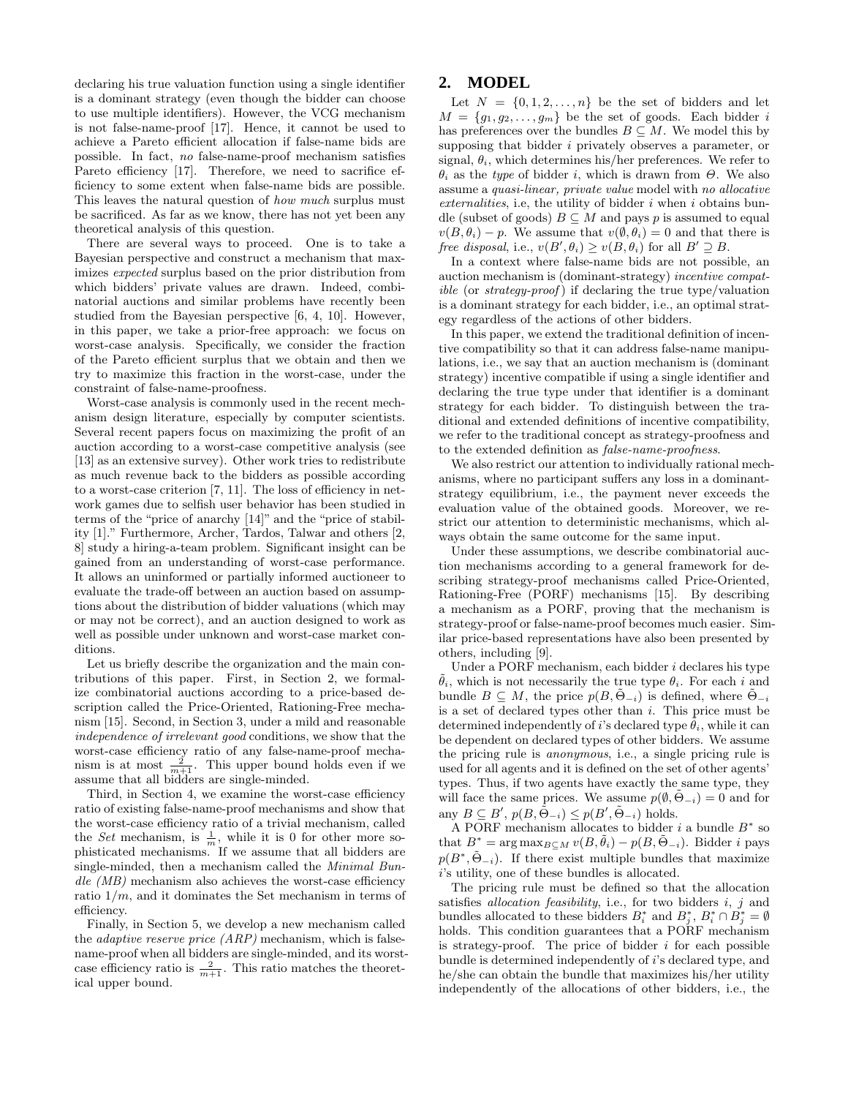declaring his true valuation function using a single identifier is a dominant strategy (even though the bidder can choose to use multiple identifiers). However, the VCG mechanism is not false-name-proof [17]. Hence, it cannot be used to achieve a Pareto efficient allocation if false-name bids are possible. In fact, no false-name-proof mechanism satisfies Pareto efficiency [17]. Therefore, we need to sacrifice efficiency to some extent when false-name bids are possible. This leaves the natural question of how much surplus must be sacrificed. As far as we know, there has not yet been any theoretical analysis of this question.

There are several ways to proceed. One is to take a Bayesian perspective and construct a mechanism that maximizes expected surplus based on the prior distribution from which bidders' private values are drawn. Indeed, combinatorial auctions and similar problems have recently been studied from the Bayesian perspective [6, 4, 10]. However, in this paper, we take a prior-free approach: we focus on worst-case analysis. Specifically, we consider the fraction of the Pareto efficient surplus that we obtain and then we try to maximize this fraction in the worst-case, under the constraint of false-name-proofness.

Worst-case analysis is commonly used in the recent mechanism design literature, especially by computer scientists. Several recent papers focus on maximizing the profit of an auction according to a worst-case competitive analysis (see [13] as an extensive survey). Other work tries to redistribute as much revenue back to the bidders as possible according to a worst-case criterion [7, 11]. The loss of efficiency in network games due to selfish user behavior has been studied in terms of the "price of anarchy [14]" and the "price of stability [1]." Furthermore, Archer, Tardos, Talwar and others [2, 8] study a hiring-a-team problem. Significant insight can be gained from an understanding of worst-case performance. It allows an uninformed or partially informed auctioneer to evaluate the trade-off between an auction based on assumptions about the distribution of bidder valuations (which may or may not be correct), and an auction designed to work as well as possible under unknown and worst-case market conditions.

Let us briefly describe the organization and the main contributions of this paper. First, in Section 2, we formalize combinatorial auctions according to a price-based description called the Price-Oriented, Rationing-Free mechanism [15]. Second, in Section 3, under a mild and reasonable independence of irrelevant good conditions, we show that the worst-case efficiency ratio of any false-name-proof mechanism is at most  $\frac{2}{m+1}$ . This upper bound holds even if we assume that all bidders are single-minded.

Third, in Section 4, we examine the worst-case efficiency ratio of existing false-name-proof mechanisms and show that the worst-case efficiency ratio of a trivial mechanism, called the *Set* mechanism, is  $\frac{1}{m}$ , while it is 0 for other more so-<br>phisticated mechanisms. If we assume that all bidders are single-minded, then a mechanism called the Minimal Bun $die$  (MB) mechanism also achieves the worst-case efficiency ratio  $1/m$ , and it dominates the Set mechanism in terms of efficiency.

Finally, in Section 5, we develop a new mechanism called the *adaptive reserve price*  $(ARP)$  mechanism, which is falsename-proof when all bidders are single-minded, and its worstcase efficiency ratio is  $\frac{2}{m+1}$ . This ratio matches the theoretical upper bound.

## **2. MODEL**

Let  $N = \{0, 1, 2, \ldots, n\}$  be the set of bidders and let  $M = \{g_1, g_2, \ldots, g_m\}$  be the set of goods. Each bidder i has preferences over the bundles  $B \subseteq M$ . We model this by supposing that bidder *i* privately observes a parameter, or signal,  $\theta_i$ , which determines his/her preferences. We refer to  $\theta_i$  as the type of bidder i, which is drawn from  $\Theta$ . We also assume a quasi-linear, private value model with no allocative externalities, i.e, the utility of bidder  $i$  when  $i$  obtains bundle (subset of goods)  $B \subseteq M$  and pays p is assumed to equal  $v(B, \theta_i) - p$ . We assume that  $v(\emptyset, \theta_i) = 0$  and that there is free disposal, i.e.,  $v(B', \theta_i) \ge v(B, \theta_i)$  for all  $B' \supseteq B$ .

In a context where false-name bids are not possible, an auction mechanism is (dominant-strategy) incentive compat $ible$  (or  $strategy$ - $proof$ ) if declaring the true type/valuation is a dominant strategy for each bidder, i.e., an optimal strategy regardless of the actions of other bidders.

In this paper, we extend the traditional definition of incentive compatibility so that it can address false-name manipulations, i.e., we say that an auction mechanism is (dominant strategy) incentive compatible if using a single identifier and declaring the true type under that identifier is a dominant strategy for each bidder. To distinguish between the traditional and extended definitions of incentive compatibility, we refer to the traditional concept as strategy-proofness and to the extended definition as false-name-proofness.

We also restrict our attention to individually rational mechanisms, where no participant suffers any loss in a dominantstrategy equilibrium, i.e., the payment never exceeds the evaluation value of the obtained goods. Moreover, we restrict our attention to deterministic mechanisms, which always obtain the same outcome for the same input.

Under these assumptions, we describe combinatorial auction mechanisms according to a general framework for describing strategy-proof mechanisms called Price-Oriented, Rationing-Free (PORF) mechanisms [15]. By describing a mechanism as a PORF, proving that the mechanism is strategy-proof or false-name-proof becomes much easier. Similar price-based representations have also been presented by others, including [9].

Under a PORF mechanism, each bidder i declares his type  $\tilde{\theta}_i$ , which is not necessarily the true type  $\theta_i$ . For each i and bundle  $B \subseteq M$ , the price  $p(B, \Theta_{-i})$  is defined, where  $\Theta_{-i}$ is a set of declared types other than  $i$ . This price must be determined independently of i's declared type  $\theta_i$ , while it can be dependent on declared types of other bidders. We assume the pricing rule is anonymous, i.e., a single pricing rule is used for all agents and it is defined on the set of other agents' types. Thus, if two agents have exactly the same type, they will face the same prices. We assume  $p(\emptyset, \tilde{\Theta}_{-i}) = 0$  and for any  $B \subseteq B'$ ,  $p(B,\tilde{\Theta}_{-i}) \leq p(B',\tilde{\Theta}_{-i})$  holds.

A PORF mechanism allocates to bidder  $i$  a bundle  $B^*$  so that  $B^* = \arg \max_{B \subseteq M} v(B, \tilde{\theta}_i) - p(B, \tilde{\Theta}_{-i})$ . Bidder *i* pays  $p(B^*, \tilde{\Theta}_{-i})$ . If there exist multiple bundles that maximize i's utility, one of these bundles is allocated.

The pricing rule must be defined so that the allocation satisfies *allocation feasibility*, i.e., for two bidders  $i, j$  and bundles allocated to these bidders  $B_i^*$  and  $B_j^*, B_i^* \cap B_j^* = \emptyset$ holds. This condition guarantees that a PORF mechanism is strategy-proof. The price of bidder  $i$  for each possible bundle is determined independently of i's declared type, and he/she can obtain the bundle that maximizes his/her utility independently of the allocations of other bidders, i.e., the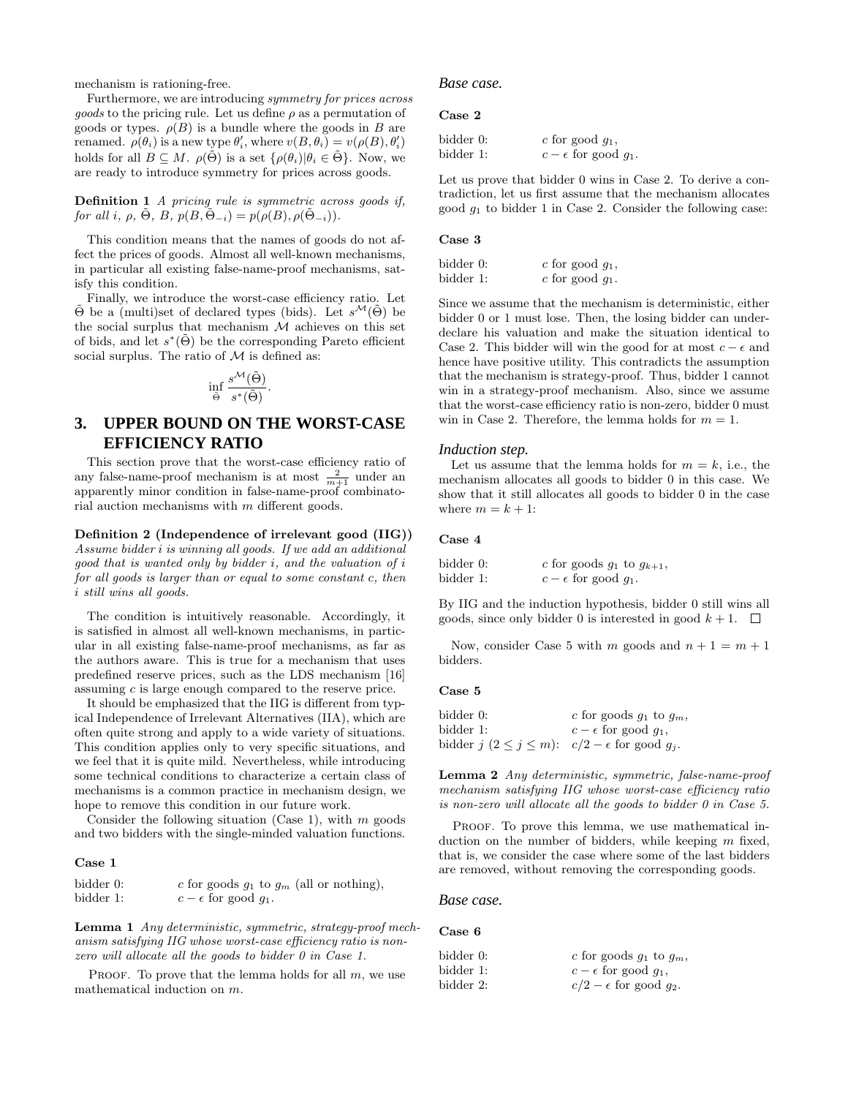mechanism is rationing-free.

Furthermore, we are introducing symmetry for prices across *goods* to the pricing rule. Let us define  $\rho$  as a permutation of goods or types.  $\rho(B)$  is a bundle where the goods in B are renamed.  $\rho(\theta_i)$  is a new type  $\theta'_i$ , where  $v(B, \theta_i) = v(\rho(B), \theta'_i)$ holds for all  $B \subseteq M$ .  $\rho(\tilde{\Theta})$  is a set  $\{\rho(\theta_i)|\theta_i \in \tilde{\Theta}\}\)$ . Now, we are ready to introduce symmetry for prices across goods.

Definition 1 A pricing rule is symmetric across goods if, for all i,  $\rho$ ,  $\Theta$ ,  $B$ ,  $p(B, \Theta_{-i}) = p(\rho(B), \rho(\Theta_{-i}))$ .

This condition means that the names of goods do not affect the prices of goods. Almost all well-known mechanisms, in particular all existing false-name-proof mechanisms, satisfy this condition.

Finally, we introduce the worst-case efficiency ratio. Let  $\tilde{\Theta}$  be a (multi)set of declared types (bids). Let  $s^{\mathcal{M}}(\tilde{\Theta})$  be the social surplus that mechanism  $M$  achieves on this set of bids, and let  $s^*(\tilde{\Theta})$  be the corresponding Pareto efficient social surplus. The ratio of  $M$  is defined as:

$$
\inf_{\tilde{\Theta}} \frac{s^{\mathcal{M}}(\tilde{\Theta})}{s^*(\tilde{\Theta})}.
$$

# **3. UPPER BOUND ON THE WORST-CASE EFFICIENCY RATIO**

This section prove that the worst-case efficiency ratio of any false-name-proof mechanism is at most  $\frac{2}{m+1}$  under an apparently minor condition in false-name-proof combinatorial auction mechanisms with m different goods.

Definition 2 (Independence of irrelevant good (IIG)) Assume bidder i is winning all goods. If we add an additional good that is wanted only by bidder i, and the valuation of i for all goods is larger than or equal to some constant c, then i still wins all goods.

The condition is intuitively reasonable. Accordingly, it is satisfied in almost all well-known mechanisms, in particular in all existing false-name-proof mechanisms, as far as the authors aware. This is true for a mechanism that uses predefined reserve prices, such as the LDS mechanism [16] assuming c is large enough compared to the reserve price.

It should be emphasized that the IIG is different from typical Independence of Irrelevant Alternatives (IIA), which are often quite strong and apply to a wide variety of situations. This condition applies only to very specific situations, and we feel that it is quite mild. Nevertheless, while introducing some technical conditions to characterize a certain class of mechanisms is a common practice in mechanism design, we hope to remove this condition in our future work.

Consider the following situation (Case 1), with  $m$  goods and two bidders with the single-minded valuation functions.

## Case 1

| bidder 0: | c for goods $g_1$ to $g_m$ (all or nothing), |
|-----------|----------------------------------------------|
| bidder 1: | $c - \epsilon$ for good $q_1$ .              |

Lemma 1 Any deterministic, symmetric, strategy-proof mechanism satisfying IIG whose worst-case efficiency ratio is nonzero will allocate all the goods to bidder 0 in Case 1.

PROOF. To prove that the lemma holds for all  $m$ , we use mathematical induction on m.

## *Base case.*

Case 2

| bidder 0: | c for good $q_1$ ,              |
|-----------|---------------------------------|
| bidder 1: | $c - \epsilon$ for good $q_1$ . |

Let us prove that bidder 0 wins in Case 2. To derive a contradiction, let us first assume that the mechanism allocates good  $g_1$  to bidder 1 in Case 2. Consider the following case:

#### Case 3

| bidder 0: | c for good $q_1$ , |
|-----------|--------------------|
| bidder 1: | c for good $q_1$ . |

Since we assume that the mechanism is deterministic, either bidder 0 or 1 must lose. Then, the losing bidder can underdeclare his valuation and make the situation identical to Case 2. This bidder will win the good for at most  $c - \epsilon$  and hence have positive utility. This contradicts the assumption that the mechanism is strategy-proof. Thus, bidder 1 cannot win in a strategy-proof mechanism. Also, since we assume that the worst-case efficiency ratio is non-zero, bidder 0 must win in Case 2. Therefore, the lemma holds for  $m = 1$ .

## *Induction step.*

Let us assume that the lemma holds for  $m = k$ , i.e., the mechanism allocates all goods to bidder 0 in this case. We show that it still allocates all goods to bidder 0 in the case where  $m = k + 1$ :

#### Case 4

| bidder 0: | c for goods $g_1$ to $g_{k+1}$ , |
|-----------|----------------------------------|
| bidder 1: | $c - \epsilon$ for good $q_1$ .  |

By IIG and the induction hypothesis, bidder 0 still wins all goods, since only bidder 0 is interested in good  $k + 1$ .  $\Box$ 

Now, consider Case 5 with m goods and  $n + 1 = m + 1$ bidders.

## Case 5

| bidder 0:                                                        | c for goods $q_1$ to $q_m$ ,    |
|------------------------------------------------------------------|---------------------------------|
| bidder 1:                                                        | $c - \epsilon$ for good $q_1$ , |
| bidder $j$ $(2 \le j \le m)$ : $c/2 - \epsilon$ for good $g_j$ . |                                 |

Lemma 2 Any deterministic, symmetric, false-name-proof mechanism satisfying IIG whose worst-case efficiency ratio is non-zero will allocate all the goods to bidder 0 in Case 5.

PROOF. To prove this lemma, we use mathematical induction on the number of bidders, while keeping  $m$  fixed, that is, we consider the case where some of the last bidders are removed, without removing the corresponding goods.

## *Base case.*

## Case 6

| bidder 0: | c for goods $q_1$ to $q_m$ ,      |
|-----------|-----------------------------------|
| bidder 1: | $c - \epsilon$ for good $q_1$ ,   |
| bidder 2: | $c/2 - \epsilon$ for good $q_2$ . |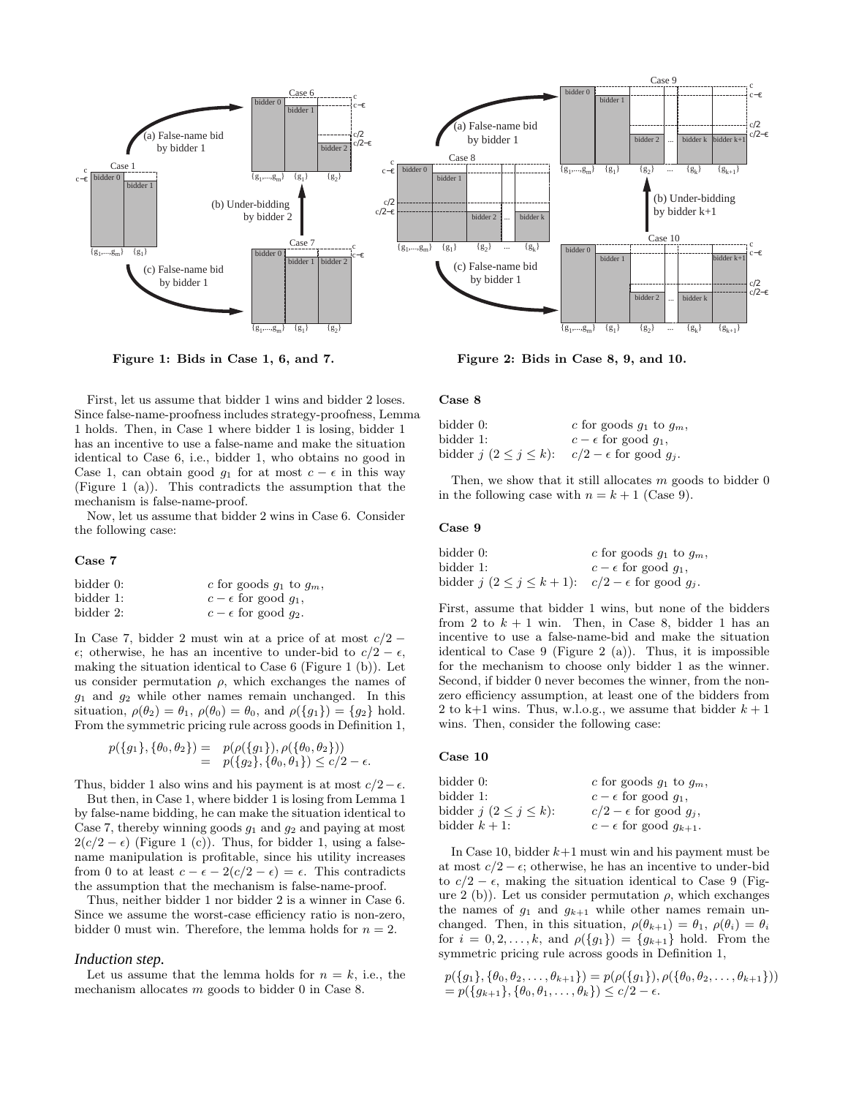

Figure 1: Bids in Case 1, 6, and 7.

First, let us assume that bidder 1 wins and bidder 2 loses. Since false-name-proofness includes strategy-proofness, Lemma 1 holds. Then, in Case 1 where bidder 1 is losing, bidder 1 has an incentive to use a false-name and make the situation identical to Case 6, i.e., bidder 1, who obtains no good in Case 1, can obtain good  $g_1$  for at most  $c - \epsilon$  in this way (Figure 1 (a)). This contradicts the assumption that the mechanism is false-name-proof.

Now, let us assume that bidder 2 wins in Case 6. Consider the following case:

#### Case 7

| bidder 0: | c for goods $g_1$ to $g_m$ ,    |
|-----------|---------------------------------|
| bidder 1: | $c - \epsilon$ for good $q_1$ , |
| bidder 2: | $c - \epsilon$ for good $q_2$ . |

In Case 7, bidder 2 must win at a price of at most  $c/2$  −  $\epsilon$ ; otherwise, he has an incentive to under-bid to  $c/2 - \epsilon$ , making the situation identical to Case 6 (Figure 1 (b)). Let us consider permutation  $\rho$ , which exchanges the names of  $g_1$  and  $g_2$  while other names remain unchanged. In this situation,  $\rho(\theta_2) = \theta_1$ ,  $\rho(\theta_0) = \theta_0$ , and  $\rho(\lbrace g_1 \rbrace) = \lbrace g_2 \rbrace$  hold. From the symmetric pricing rule across goods in Definition 1,

$$
p(\lbrace g_1 \rbrace, \lbrace \theta_0, \theta_2 \rbrace) = p(\rho(\lbrace g_1 \rbrace), \rho(\lbrace \theta_0, \theta_2 \rbrace))
$$
  
=  $p(\lbrace g_2 \rbrace, \lbrace \theta_0, \theta_1 \rbrace) \leq c/2 - \epsilon$ .

Thus, bidder 1 also wins and his payment is at most  $c/2 - \epsilon$ .

But then, in Case 1, where bidder 1 is losing from Lemma 1 by false-name bidding, he can make the situation identical to Case 7, thereby winning goods  $g_1$  and  $g_2$  and paying at most  $2(c/2 - \epsilon)$  (Figure 1 (c)). Thus, for bidder 1, using a falsename manipulation is profitable, since his utility increases from 0 to at least  $c - \epsilon - 2(c/2 - \epsilon) = \epsilon$ . This contradicts the assumption that the mechanism is false-name-proof.

Thus, neither bidder 1 nor bidder 2 is a winner in Case 6. Since we assume the worst-case efficiency ratio is non-zero, bidder 0 must win. Therefore, the lemma holds for  $n = 2$ .

## *Induction step.*

Let us assume that the lemma holds for  $n = k$ , i.e., the mechanism allocates m goods to bidder 0 in Case 8.

Figure 2: Bids in Case 8, 9, and 10.

#### Case 8

| bidder 0:                        | c for goods $g_1$ to $g_m$ ,      |
|----------------------------------|-----------------------------------|
| bidder 1:                        | $c - \epsilon$ for good $q_1$ ,   |
| bidder $j$ $(2 \leq j \leq k)$ : | $c/2 - \epsilon$ for good $q_i$ . |

Then, we show that it still allocates  $m$  goods to bidder  $0$ in the following case with  $n = k + 1$  (Case 9).

#### Case 9

| bidder 0:                                                          | c for goods $g_1$ to $g_m$ ,    |
|--------------------------------------------------------------------|---------------------------------|
| bidder 1:                                                          | $c - \epsilon$ for good $q_1$ , |
| bidder $j$ $(2 \le j \le k+1)$ : $c/2 - \epsilon$ for good $g_j$ . |                                 |

First, assume that bidder 1 wins, but none of the bidders from 2 to  $k + 1$  win. Then, in Case 8, bidder 1 has an incentive to use a false-name-bid and make the situation identical to Case 9 (Figure 2 (a)). Thus, it is impossible for the mechanism to choose only bidder 1 as the winner. Second, if bidder 0 never becomes the winner, from the nonzero efficiency assumption, at least one of the bidders from 2 to k+1 wins. Thus, w.l.o.g., we assume that bidder  $k + 1$ wins. Then, consider the following case:

#### Case 10

| bidder 0:                        | c for goods $g_1$ to $g_m$ ,        |
|----------------------------------|-------------------------------------|
| bidder 1:                        | $c - \epsilon$ for good $q_1$ ,     |
| bidder $j$ $(2 \leq j \leq k)$ : | $c/2 - \epsilon$ for good $q_i$ ,   |
| bidder $k+1$ :                   | $c - \epsilon$ for good $g_{k+1}$ . |

In Case 10, bidder  $k+1$  must win and his payment must be at most  $c/2 - \epsilon$ ; otherwise, he has an incentive to under-bid to  $c/2 - \epsilon$ , making the situation identical to Case 9 (Figure 2 (b)). Let us consider permutation  $\rho$ , which exchanges the names of  $q_1$  and  $q_{k+1}$  while other names remain unchanged. Then, in this situation,  $\rho(\theta_{k+1}) = \theta_1$ ,  $\rho(\theta_i) = \theta_i$ for  $i = 0, 2, ..., k$ , and  $\rho({g_1}) = {g_{k+1}}$  hold. From the symmetric pricing rule across goods in Definition 1,

$$
p(\lbrace g_1 \rbrace, \lbrace \theta_0, \theta_2, \ldots, \theta_{k+1} \rbrace) = p(\rho(\lbrace g_1 \rbrace), \rho(\lbrace \theta_0, \theta_2, \ldots, \theta_{k+1} \rbrace))
$$
  
=  $p(\lbrace g_{k+1} \rbrace, \lbrace \theta_0, \theta_1, \ldots, \theta_k \rbrace) \le c/2 - \epsilon$ .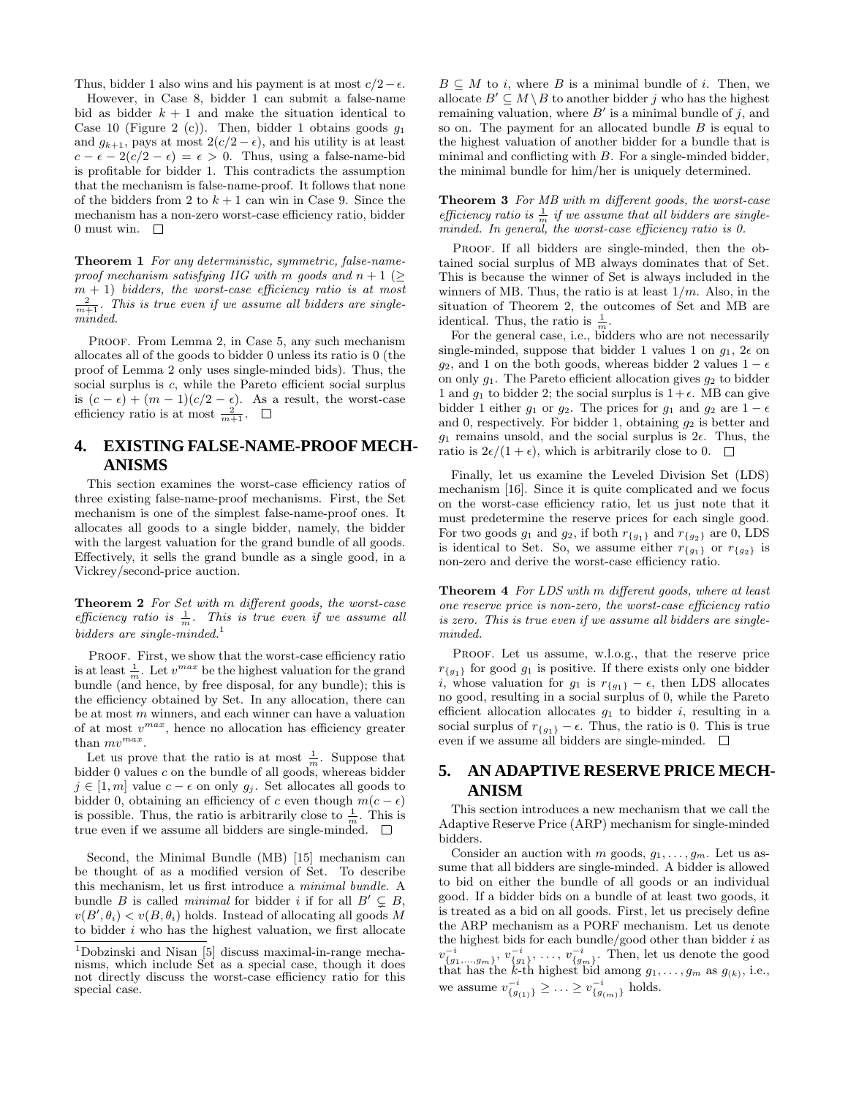Thus, bidder 1 also wins and his payment is at most  $c/2-\epsilon$ .

However, in Case 8, bidder 1 can submit a false-name bid as bidder  $k + 1$  and make the situation identical to Case 10 (Figure 2 (c)). Then, bidder 1 obtains goods  $q_1$ and  $q_{k+1}$ , pays at most  $2(c/2 - \epsilon)$ , and his utility is at least  $c - \epsilon - 2(c/2 - \epsilon) = \epsilon > 0$ . Thus, using a false-name-bid is profitable for bidder 1. This contradicts the assumption that the mechanism is false-name-proof. It follows that none of the bidders from 2 to  $k + 1$  can win in Case 9. Since the mechanism has a non-zero worst-case efficiency ratio, bidder 0 must win.  $\square$ 

Theorem 1 For any deterministic, symmetric, false-nameproof mechanism satisfying IIG with m goods and  $n + 1$  ( $\geq$  $m + 1$ ) bidders, the worst-case efficiency ratio is at most  $\frac{2}{m+1}$ . This is true even if we assume all bidders are singleminded.

PROOF. From Lemma 2, in Case 5, any such mechanism allocates all of the goods to bidder 0 unless its ratio is 0 (the proof of Lemma 2 only uses single-minded bids). Thus, the social surplus is c, while the Pareto efficient social surplus is  $(c - \epsilon) + (m - 1)(c/2 - \epsilon)$ . As a result, the worst-case efficiency ratio is at most  $\frac{2}{m+1}$ .

# **4. EXISTING FALSE-NAME-PROOF MECH-ANISMS**

This section examines the worst-case efficiency ratios of three existing false-name-proof mechanisms. First, the Set mechanism is one of the simplest false-name-proof ones. It allocates all goods to a single bidder, namely, the bidder with the largest valuation for the grand bundle of all goods. Effectively, it sells the grand bundle as a single good, in a Vickrey/second-price auction.

Theorem 2 For Set with m different goods, the worst-case efficiency ratio is  $\frac{1}{m}$ . This is true even if we assume all bidders are single-minded.<sup>1</sup>

PROOF. First, we show that the worst-case efficiency ratio is at least  $\frac{1}{m}$ . Let  $v^{max}$  be the highest valuation for the grand bundle (and hence, by free disposal, for any bundle); this is the efficiency obtained by Set. In any allocation, there can be at most m winners, and each winner can have a valuation of at most  $v^{max}$ , hence no allocation has efficiency greater than  $mv^{max}$ .

Let us prove that the ratio is at most  $\frac{1}{m}$ . Suppose that bidder 0 values c on the bundle of all goods, whereas bidder  $j \in [1, m]$  value  $c - \epsilon$  on only  $g_j$ . Set allocates all goods to bidder 0, obtaining an efficiency of c even though  $m(c - \epsilon)$ is possible. Thus, the ratio is arbitrarily close to  $\frac{1}{m}$ . This is true even if we assume all bidders are single-minded.  $\square$ 

Second, the Minimal Bundle (MB) [15] mechanism can be thought of as a modified version of Set. To describe this mechanism, let us first introduce a minimal bundle. A bundle B is called *minimal* for bidder i if for all  $B' \subseteq B$ ,  $v(B', \theta_i) < v(B, \theta_i)$  holds. Instead of allocating all goods M to bidder  $i$  who has the highest valuation, we first allocate

 $B \subseteq M$  to *i*, where B is a minimal bundle of *i*. Then, we allocate  $B' \subseteq M \setminus B$  to another bidder j who has the highest remaining valuation, where  $B'$  is a minimal bundle of j, and so on. The payment for an allocated bundle  $B$  is equal to the highest valuation of another bidder for a bundle that is minimal and conflicting with  $B$ . For a single-minded bidder, the minimal bundle for him/her is uniquely determined.

Theorem 3 For MB with m different goods, the worst-case efficiency ratio is  $\frac{1}{m}$  if we assume that all bidders are single-<br>minded. In general, the worst-case efficiency ratio is 0.

PROOF. If all bidders are single-minded, then the obtained social surplus of MB always dominates that of Set. This is because the winner of Set is always included in the winners of MB. Thus, the ratio is at least  $1/m$ . Also, in the situation of Theorem 2, the outcomes of Set and MB are identical. Thus, the ratio is  $\frac{1}{m}$ .

For the general case, i.e., bidders who are not necessarily single-minded, suppose that bidder 1 values 1 on  $g_1$ ,  $2\epsilon$  on g<sub>2</sub>, and 1 on the both goods, whereas bidder 2 values  $1 - \epsilon$ on only  $g_1$ . The Pareto efficient allocation gives  $g_2$  to bidder 1 and  $g_1$  to bidder 2; the social surplus is  $1+\epsilon$ . MB can give bidder 1 either  $g_1$  or  $g_2$ . The prices for  $g_1$  and  $g_2$  are  $1 - \epsilon$ and 0, respectively. For bidder 1, obtaining  $q_2$  is better and  $g_1$  remains unsold, and the social surplus is  $2\epsilon$ . Thus, the ratio is  $2\epsilon/(1+\epsilon)$ , which is arbitrarily close to 0.  $\Box$ 

Finally, let us examine the Leveled Division Set (LDS) mechanism [16]. Since it is quite complicated and we focus on the worst-case efficiency ratio, let us just note that it must predetermine the reserve prices for each single good. For two goods  $g_1$  and  $g_2$ , if both  $r_{\{g_1\}}$  and  $r_{\{g_2\}}$  are 0, LDS is identical to Set. So, we assume either  $r_{\{g_1\}}$  or  $r_{\{g_2\}}$  is non-zero and derive the worst-case efficiency ratio.

Theorem 4 For LDS with m different goods, where at least one reserve price is non-zero, the worst-case efficiency ratio is zero. This is true even if we assume all bidders are singleminded.

PROOF. Let us assume, w.l.o.g., that the reserve price  $r_{\{g_1\}}$  for good  $g_1$  is positive. If there exists only one bidder i, whose valuation for  $g_1$  is  $r_{\{g_1\}} - \epsilon$ , then LDS allocates no good, resulting in a social surplus of 0, while the Pareto efficient allocation allocates  $g_1$  to bidder *i*, resulting in a social surplus of  $r_{\{g_1\}} - \epsilon$ . Thus, the ratio is 0. This is true even if we assume all bidders are single-minded.  $\square$ 

# **5. AN ADAPTIVE RESERVE PRICE MECH-ANISM**

This section introduces a new mechanism that we call the Adaptive Reserve Price (ARP) mechanism for single-minded bidders.

Consider an auction with m goods,  $g_1, \ldots, g_m$ . Let us assume that all bidders are single-minded. A bidder is allowed to bid on either the bundle of all goods or an individual good. If a bidder bids on a bundle of at least two goods, it is treated as a bid on all goods. First, let us precisely define the ARP mechanism as a PORF mechanism. Let us denote the highest bids for each bundle/good other than bidder  $i$  as  $v_{\{g_1,\ldots,g_m\}}^{-i}, v_{\{g_1\}}^{-i}, \ldots, v_{\{g_m\}}^{-i}.$  Then, let us denote the good that has the k-th highest bid among  $g_1, \ldots, g_m$  as  $g_{(k)}$ , i.e., we assume  $v_{g_{(1)}}^{-i} \geq ... \geq v_{g_{(m)}}^{-i}$  holds.

 $^1$ Dobzinski and Nisan $\left[ 5\right]$  discuss maximal-in-range mechanisms, which include Set as a special case, though it does not directly discuss the worst-case efficiency ratio for this special case.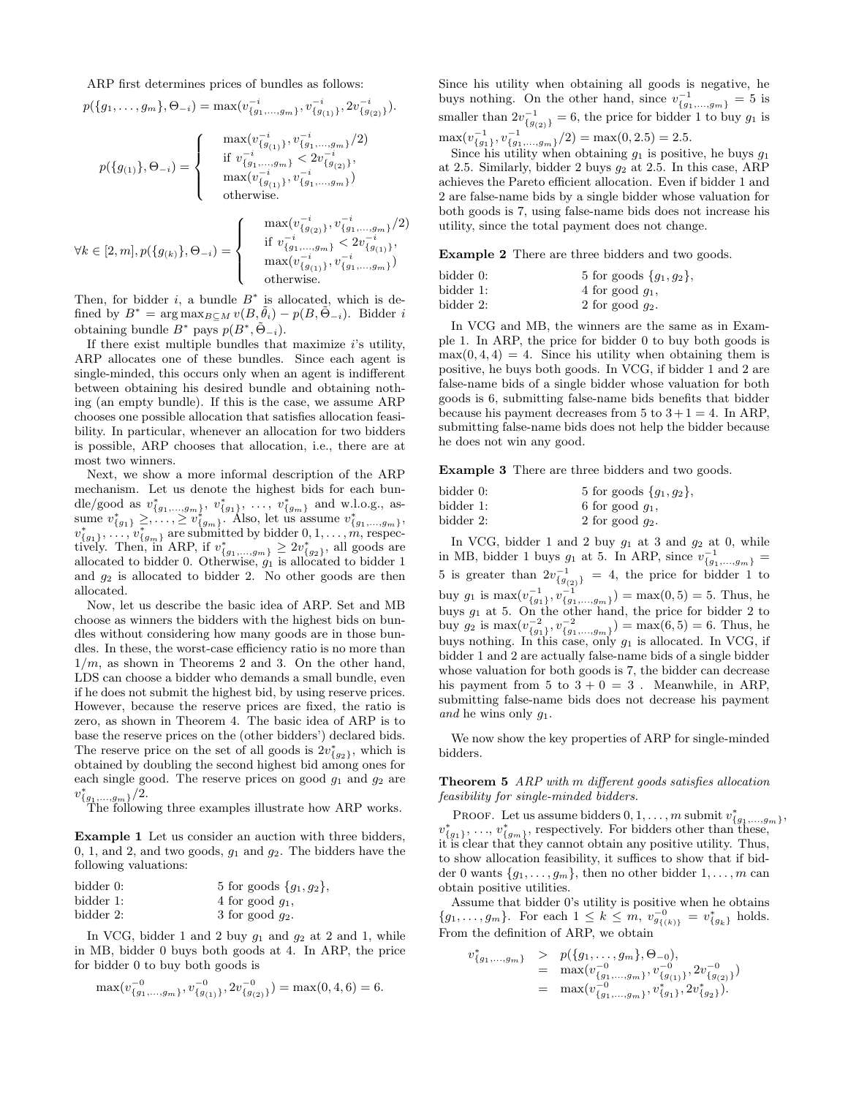ARP first determines prices of bundles as follows:

 $p({g_1, \ldots, g_m}, \Theta_{-i}) = \max(v_{g_1, \ldots, g_m}^{-i}, v_{g_{g_{(1)}}}^{-i}, 2v_{g_{g_{(2)}}}^{-i}).$ 

$$
p(\{g_{(1)}\},\Theta_{-i}) = \left\{ \begin{array}{cl} \max(v_{\{g_{(1)}\}}^{-i},v_{\{g_{1},\ldots,g_{m}\}}^{-i}/2) \\ \text { if } v_{\{g_{1},\ldots,g_{m}\}}^{-i} < 2v_{\{g_{(2)}\}}^{-i}, \\ \max(v_{\{g_{(1)}\}}^{-i},v_{\{g_{1},\ldots,g_{m}\}}^{-i}) \\ \text { otherwise. } \end{array} \right.
$$

$$
\forall k \in [2, m], p(\{g_{(k)}\}, \Theta_{-i}) = \begin{cases} \max(v_{\{g_{(2)}\}}^{-i}, v_{\{g_1, \dots, g_m\}}^{-i}/2) \\ \text{if } v_{\{g_1, \dots, g_m\}}^{-i} < 2v_{\{g_{(1)}\}}^{-i}, \\ \max(v_{\{g_{(1)}\}}^{-i}, v_{\{g_1, \dots, g_m\}}^{-i}) \\ \text{otherwise.} \end{cases}
$$

Then, for bidder  $i$ , a bundle  $B^*$  is allocated, which is defined by  $B^* = \arg \max_{B \subseteq M} v(B, \tilde{\theta}_i) - p(B, \tilde{\Theta}_{-i}).$  Bidder i obtaining bundle  $B^*$  pays  $p(B^*, \tilde{\Theta}_{-i})$ .

If there exist multiple bundles that maximize  $i$ 's utility, ARP allocates one of these bundles. Since each agent is single-minded, this occurs only when an agent is indifferent between obtaining his desired bundle and obtaining nothing (an empty bundle). If this is the case, we assume ARP chooses one possible allocation that satisfies allocation feasibility. In particular, whenever an allocation for two bidders is possible, ARP chooses that allocation, i.e., there are at most two winners.

Next, we show a more informal description of the ARP mechanism. Let us denote the highest bids for each bundle/good as  $v_{\{g_1,...,g_m\}}^*$ ,  $v_{\{g_1\}}^*$ , ...,  $v_{\{g_m\}}^*$  and w.l.o.g., assume  $v_{\{g_1\}}^* \geq, \ldots, \geq v_{\{g_m\}}^*$ . Also, let us assume  $v_{\{g_1,\ldots,g_m\}}^*$ ,  $v_{\{g_1\}}^*, \ldots, v_{\{g_m\}}^*$  are submitted by bidder  $0, 1, \ldots, m$ , respectively. Then, in ARP, if  $v_{\{g_1,...,g_m\}}^* \geq 2v_{\{g_2\}}^*$ , all goods are allocated to bidder 0. Otherwise,  $g_1$  is allocated to bidder 1 and  $g_2$  is allocated to bidder 2. No other goods are then allocated.

Now, let us describe the basic idea of ARP. Set and MB choose as winners the bidders with the highest bids on bundles without considering how many goods are in those bundles. In these, the worst-case efficiency ratio is no more than  $1/m$ , as shown in Theorems 2 and 3. On the other hand, LDS can choose a bidder who demands a small bundle, even if he does not submit the highest bid, by using reserve prices. However, because the reserve prices are fixed, the ratio is zero, as shown in Theorem 4. The basic idea of ARP is to base the reserve prices on the (other bidders') declared bids. The reserve price on the set of all goods is  $2v_{g_2}^*$ , which is obtained by doubling the second highest bid among ones for each single good. The reserve prices on good  $g_1$  and  $g_2$  are  $v_{\{g_1,\ldots,g_m\}}^*(\overline{2})$ .<br>The following three examples illustrate how ARP works.

Example 1 Let us consider an auction with three bidders, 0, 1, and 2, and two goods,  $g_1$  and  $g_2$ . The bidders have the following valuations:

| bidder 0: | 5 for goods $\{g_1, g_2\},\$ |  |
|-----------|------------------------------|--|
| bidder 1: | 4 for good $q_1$ ,           |  |
| bidder 2: | 3 for good $q_2$ .           |  |

In VCG, bidder 1 and 2 buy  $g_1$  and  $g_2$  at 2 and 1, while in MB, bidder 0 buys both goods at 4. In ARP, the price for bidder 0 to buy both goods is

$$
\max(v_{\{g_1,\ldots,g_m\}}^{-0},v_{\{g_{(1)}\}}^{-0},2v_{\{g_{(2)}\}}^{-0})=\max(0,4,6)=6.
$$

Since his utility when obtaining all goods is negative, he buys nothing. On the other hand, since  $v_{\{g_1,\dots,g_m\}}^{-1} = 5$  is smaller than  $2v_{\{g_{(2)}\}}^{-1} = 6$ , the price for bidder 1 to buy  $g_1$  is  $\max(v_{\{g_1\}}^{-1}, v_{\{g_1,\ldots,g_m\}}^{-1}/2) = \max(0, 2.5) = 2.5.$ 

Since his utility when obtaining  $g_1$  is positive, he buys  $g_1$ at 2.5. Similarly, bidder 2 buys  $g_2$  at 2.5. In this case, ARP achieves the Pareto efficient allocation. Even if bidder 1 and 2 are false-name bids by a single bidder whose valuation for both goods is 7, using false-name bids does not increase his utility, since the total payment does not change.

Example 2 There are three bidders and two goods.

| bidder 0: | 5 for goods $\{g_1, g_2\},\$ |
|-----------|------------------------------|
| bidder 1: | 4 for good $q_1$ ,           |
| bidder 2: | 2 for good $q_2$ .           |

In VCG and MB, the winners are the same as in Example 1. In ARP, the price for bidder 0 to buy both goods is  $max(0, 4, 4) = 4$ . Since his utility when obtaining them is positive, he buys both goods. In VCG, if bidder 1 and 2 are false-name bids of a single bidder whose valuation for both goods is 6, submitting false-name bids benefits that bidder because his payment decreases from 5 to  $3+1=4$ . In ARP, submitting false-name bids does not help the bidder because he does not win any good.

Example 3 There are three bidders and two goods.

| bidder 0: | 5 for goods $\{g_1, g_2\},\$ |
|-----------|------------------------------|
| bidder 1: | 6 for good $q_1$ ,           |
| bidder 2: | 2 for good $q_2$ .           |

In VCG, bidder 1 and 2 buy  $g_1$  at 3 and  $g_2$  at 0, while in MB, bidder 1 buys  $g_1$  at 5. In ARP, since  $v_{\{g_1,\ldots,g_m\}}^{-1} =$ 5 is greater than  $2v_{\{g_{(2)}\}}^{-1} = 4$ , the price for bidder 1 to buy  $g_1$  is  $\max(v_{\{g_1\}}^{-1}, v_{\{g_1,\ldots,g_m\}}^{-1}) = \max(0, 5) = 5$ . Thus, he buys  $g_1$  at 5. On the other hand, the price for bidder 2 to buy  $g_2$  is  $\max(v_{\{g_1\}}^{-2}, v_{\{g_1,\ldots,g_m\}}^{-2}) = \max(6, 5) = 6$ . Thus, he buys nothing. In this case, only  $g_1$  is allocated. In VCG, if bidder 1 and 2 are actually false-name bids of a single bidder whose valuation for both goods is 7, the bidder can decrease his payment from 5 to  $3 + 0 = 3$ . Meanwhile, in ARP, submitting false-name bids does not decrease his payment and he wins only  $q_1$ .

We now show the key properties of ARP for single-minded bidders.

Theorem 5 ARP with m different goods satisfies allocation feasibility for single-minded bidders.

PROOF. Let us assume bidders  $0, 1, \ldots, m$  submit  $v_{\{g_1,\ldots,g_m\}}^*$ ,  $v_{\{g_1\}}^*$ , ...,  $v_{\{g_m\}}^*$ , respectively. For bidders other than these, it is clear that they cannot obtain any positive utility. Thus, to show allocation feasibility, it suffices to show that if bidder 0 wants  $\{g_1, \ldots, g_m\}$ , then no other bidder  $1, \ldots, m$  can obtain positive utilities.

Assume that bidder 0's utility is positive when he obtains  ${g_1, \ldots, g_m}$ . For each  $1 \leq k \leq m$ ,  $v_{g_{\{(k)\}}}^{-0} = v_{\{g_k\}}^*$  holds. From the definition of ARP, we obtain

 $\overline{v}$ 

$$
\begin{array}{rcl}\n\text{*}_{\{g_1,\ldots,g_m\}} & > & p(\{g_1,\ldots,g_m\},\Theta_{-0}), \\
& = & \max(v_{\{g_1,\ldots,g_m\}}^{-0},v_{\{g_{(1)}\}}^{-0},2v_{\{g_{(2)}\}}^{-0}) \\
& = & \max(v_{\{g_1,\ldots,g_m\}}^{-0},v_{\{g_1\}},2v_{\{g_2\}}^+).\n\end{array}
$$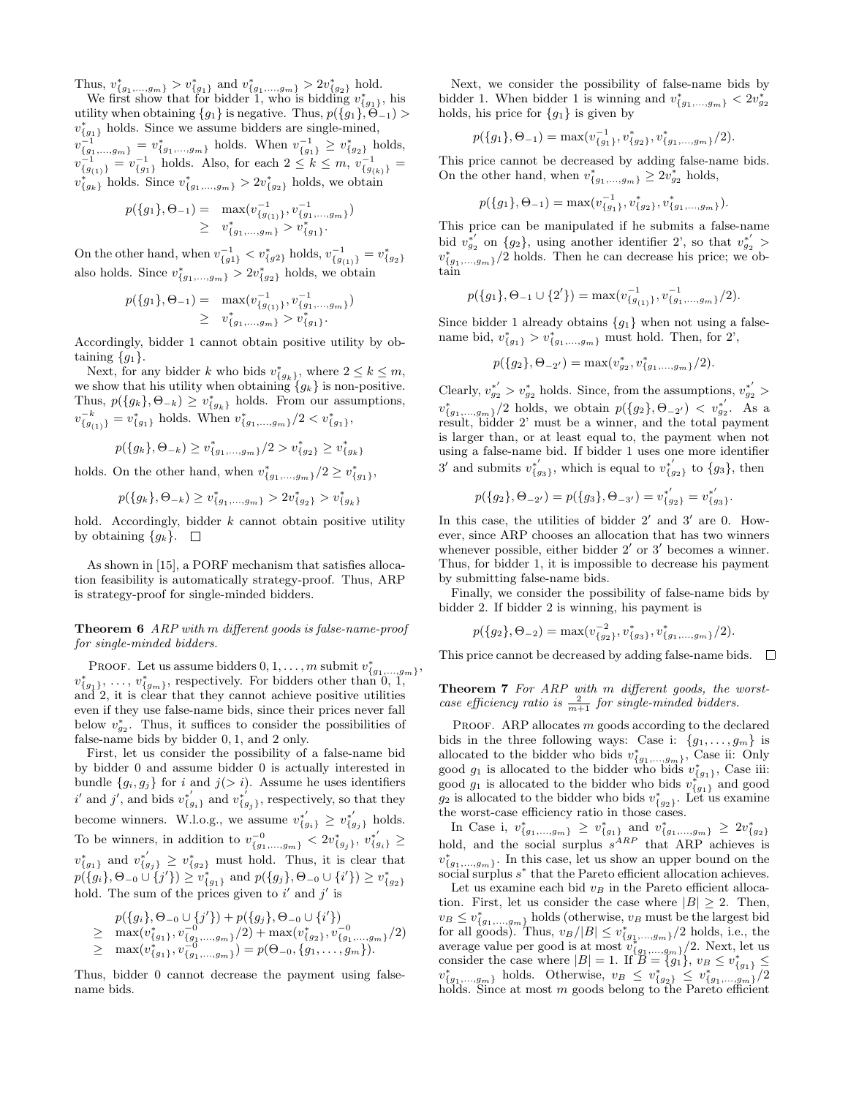Thus,  $v_{\{g_1,\dots,g_m\}}^* > v_{\{g_1\}}^*$  and  $v_{\{g_1,\dots,g_m\}}^* > 2v_{\{g_2\}}^*$  hold.<br>We first show that for bidder 1, who is bidding  $v_{\{g_1\}}^*$ , his

utility when obtaining  ${g_1}$  is negative. Thus,  $p({g_1}, \tilde{\Theta}_{-1})$  $v_{\lbrace g_1 \rbrace}^*$  holds. Since we assume bidders are single-mined,  $v_{\{g_1,\ldots,g_m\}}^{-1} = v_{\{g_1,\ldots,g_m\}}^*$  holds. When  $v_{\{g_1\}}^{-1} \geq v_{\{g_2\}}^*$  holds,  $v_{\{g_{(1)}\}}^{-1} = v_{\{g_1\}}^{-1}$  holds. Also, for each  $2 \leq k \leq m$ ,  $v_{\{g_{(k)}\}}^{-1} =$  $v_{\{g_k\}}^*$  holds. Since  $v_{\{g_1,\ldots,g_m\}}^* > 2v_{\{g_2\}}^*$  holds, we obtain

$$
p({g_1}, \Theta_{-1}) = \max(v_{\{g_{(1)}\}}^{-1}, v_{\{g_1,\ldots,g_m\}}^{-1})
$$
  
 
$$
\geq v_{\{g_1,\ldots,g_m\}}^* > v_{\{g_1\}}^*.
$$

On the other hand, when  $v_{\{g1\}}^{-1} < v_{\{g2\}}^*$  holds,  $v_{\{g_{(1)}\}}^{-1} = v_{\{g_2\}}^*$ also holds. Since  $v_{\{g_1,...,g_m\}}^* > 2v_{\{g_2\}}^*$  holds, we obtain

$$
p(\lbrace g_1 \rbrace, \Theta_{-1}) = \max(v_{\lbrace g_{(1)} \rbrace}^{-1}, v_{\lbrace g_1, \ldots, g_m \rbrace}^{-1})
$$
  
 
$$
\geq v_{\lbrace g_1, \ldots, g_m \rbrace}^* > v_{\lbrace g_1 \rbrace}^*.
$$

Accordingly, bidder 1 cannot obtain positive utility by obtaining  ${g_1}$ .

Next, for any bidder k who bids  $v_{\{g_k\}}^*$ , where  $2 \leq k \leq m$ , we show that his utility when obtaining  ${g_k}$  is non-positive. Thus,  $p({g_k}, \Theta_{-k}) \ge v_{g_k}^*$  holds. From our assumptions,  $v_{\{g_{(1)}\}}^{-k} = v_{\{g_1\}}^*$  holds. When  $v_{\{g_1,\dots,g_m\}}^*/2 < v_{\{g_1\}}^*$ ,

$$
p(\{g_k\}, \Theta_{-k}) \ge v_{\{g_1,\ldots,g_m\}}^*/2 > v_{\{g_2\}}^* \ge v_{\{g_k\}}^*
$$

holds. On the other hand, when  $v_{\{g_1,...,g_m\}}^*/2 \geq v_{\{g_1\}}^*$ ,

$$
p({g_k}, {\Theta_{-k}}) \ge v_{g_1, \ldots, g_m}^* > 2v_{g_2}^* > v_{g_k}^*
$$

hold. Accordingly, bidder  $k$  cannot obtain positive utility by obtaining  $\{g_k\}$ .  $\square$ 

As shown in [15], a PORF mechanism that satisfies allocation feasibility is automatically strategy-proof. Thus, ARP is strategy-proof for single-minded bidders.

Theorem 6 ARP with m different goods is false-name-proof for single-minded bidders.

PROOF. Let us assume bidders  $0, 1, \ldots, m$  submit  $v_{\{g_1,\ldots,g_m\}}^*$ ,  $v_{\{g_1\}}^*, \ldots, v_{\{g_m\}}^*,$  respectively. For bidders other than 0, 1, and 2, it is clear that they cannot achieve positive utilities even if they use false-name bids, since their prices never fall below  $v_{g_2}^*$ . Thus, it suffices to consider the possibilities of false-name bids by bidder 0, 1, and 2 only.

First, let us consider the possibility of a false-name bid by bidder 0 and assume bidder 0 is actually interested in bundle  $\{g_i, g_j\}$  for i and  $j(> i)$ . Assume he uses identifiers  $i'$  and  $j'$ , and bids  $v_{\{g_i\}}^*$  and  $v_{\{g_j\}}^*$ , respectively, so that they become winners. W.l.o.g., we assume  $v_{\{g_i\}}^* \geq v_{\{g_j\}}^{*'}$  holds. To be winners, in addition to  $v_{\{g_1,...,g_m\}}^{-0} < 2v_{\{g_j\}}^*$ ,  $v_{\{g_i\}}^{*'} \geq$  $v_{\{g_1\}}^*$  and  $v_{\{g_2\}}^* \geq v_{\{g_2\}}^*$  must hold. Thus, it is clear that  $p({g_i}, \Theta_{-0} \cup \{j'\}) \ge v_{g_1}^*$  and  $p({g_j}, \Theta_{-0} \cup \{i'\}) \ge v_{g_2}^*$ hold. The sum of the prices given to  $i'$  and  $j'$  is

$$
p({g_i}, \Theta_{-0} \cup \{j'\}) + p({g_j}, \Theta_{-0} \cup \{i'\})
$$
  
\n
$$
\geq \max(v_{\{g_1\}}^*, v_{\{g_1,\ldots,g_m\}}^{-0}/2) + \max(v_{\{g_2\}}^*, v_{\{g_1,\ldots,g_m\}}^{-0}/2)
$$
  
\n
$$
\geq \max(v_{\{g_1\}}^*, v_{\{g_1,\ldots,g_m\}}^{-0}) = p(\Theta_{-0}, \{g_1,\ldots,g_m\}).
$$

Thus, bidder 0 cannot decrease the payment using falsename bids.

Next, we consider the possibility of false-name bids by bidder 1. When bidder 1 is winning and  $v_{\{g_1,...,g_m\}}^* < 2v_{g_2}^*$ holds, his price for  ${g_1}$  is given by

$$
p(\lbrace g_1 \rbrace, \Theta_{-1}) = \max(v_{\lbrace g_1 \rbrace}^{-1}, v_{\lbrace g_2 \rbrace}^*, v_{\lbrace g_1, \ldots, g_m \rbrace}^*/2).
$$

This price cannot be decreased by adding false-name bids. On the other hand, when  $v_{\{g_1,...,g_m\}}^* \geq 2v_{g_2}^*$  holds,

$$
p(\lbrace g_1 \rbrace, \Theta_{-1}) = \max(v_{\lbrace g_1 \rbrace}^{-1}, v_{\lbrace g_2 \rbrace}^*, v_{\lbrace g_1, ..., g_m \rbrace}^*).
$$

This price can be manipulated if he submits a false-name bid  $v_{g_2}^{*'}$  on  $\{g_2\}$ , using another identifier 2', so that  $v_{g_2}^{*'}$  >  $v_{\{g_1,\ldots,g_m\}}^* / 2$  holds. Then he can decrease his price; we obtain

$$
p({g_1}, \Theta_{-1} \cup {2'} = \max(v_{g_{(1)}}^{-1}, v_{g_{(1)},...,g_m}^{-1})/2).
$$

Since bidder 1 already obtains  ${g_1}$  when not using a falsename bid,  $v_{\{g_1\}}^* > v_{\{g_1,...,g_m\}}^*$  must hold. Then, for 2',

$$
p(\{g_2\}, \Theta_{-2'}) = \max(v_{g_2}^*, v_{g_1,\ldots,g_m}^*/2).
$$

Clearly,  $v_{g_2}^{*'} > v_{g_2}^{*}$  holds. Since, from the assumptions,  $v_{g_2}^{*'} >$  $v_{\{g_1,...,g_m\}}^*$ /2 holds, we obtain  $p(\{g_2\}, \Theta_{-2'}) < v_{g_2}^{*'}$ . As a result, bidder 2' must be a winner, and the total payment is larger than, or at least equal to, the payment when not using a false-name bid. If bidder 1 uses one more identifier 3' and submits  $v_{\{g_3\}}^{*'}$ , which is equal to  $v_{\{g_2\}}^{*'}$  to  $\{g_3\}$ , then

$$
p(\lbrace g_2 \rbrace, \Theta_{-2'}) = p(\lbrace g_3 \rbrace, \Theta_{-3'}) = v_{\lbrace g_2 \rbrace}^{*'} = v_{\lbrace g_3 \rbrace}^{*'}.
$$

In this case, the utilities of bidder  $2'$  and  $3'$  are 0. However, since ARP chooses an allocation that has two winners whenever possible, either bidder  $2'$  or  $3'$  becomes a winner. Thus, for bidder 1, it is impossible to decrease his payment by submitting false-name bids.

Finally, we consider the possibility of false-name bids by bidder 2. If bidder 2 is winning, his payment is

$$
p(\lbrace g_2 \rbrace, \Theta_{-2}) = \max(v_{\lbrace g_2 \rbrace}^{-2}, v_{\lbrace g_3 \rbrace}^*, v_{\lbrace g_1, \ldots, g_m \rbrace}^*/2).
$$

This price cannot be decreased by adding false-name bids.  $\square$ 

Theorem 7 For ARP with m different goods, the worstcase efficiency ratio is  $\frac{2}{m+1}$  for single-minded bidders.

PROOF. ARP allocates  $m$  goods according to the declared bids in the three following ways: Case i:  ${g_1, \ldots, g_m}$  is allocated to the bidder who bids  $v_{\{g_1,...,g_m\}}^*$ , Case ii: Only good  $g_1$  is allocated to the bidder who bids  $v_{\{g_1\}}^*$ , Case iii: good  $g_1$  is allocated to the bidder who bids  $v_{g_1}^{*^{(3)}}$  and good  $g_2$  is allocated to the bidder who bids  $v_{g_2}^*$ . Let us examine the worst-case efficiency ratio in those cases.

In Case i,  $v_{\{g_1,\dots,g_m\}}^* \geq v_{\{g_1\}}^*$  and  $v_{\{g_1,\dots,g_m\}}^* \geq 2v_{\{g_2\}}^*$  hold, and the social surplus  $s^{ARP}$  that ARP achieves is  $v_{\{g_1,\ldots,g_m\}}^*$ . In this case, let us show an upper bound on the social surplus  $s^*$  that the Pareto efficient allocation achieves.

Let us examine each bid  $v_B$  in the Pareto efficient allocation. First, let us consider the case where  $|B| \geq 2$ . Then,  $v_B \leq v_{\{g_1,\ldots,g_m\}}^*$  holds (otherwise,  $v_B$  must be the largest bid for all goods). Thus,  $v_B/|B| \le v_{\{g_1,\dots,g_m\}}^*/2$  holds, i.e., the average value per good is at most  $\frac{1}{v_{\{g_1,\ldots,g_m\}}^*}/2$ . Next, let us consider the case where  $|B| = 1$ . If  $B = \{g_1\}$ ,  $v_B \le v_{\{g_1\},\{g_{\{g_1,\ldots,g_m\}}\}}^*$  holds. Otherwise,  $v_B \le v_{\{g_2\}}^* \le v_{\{g_1,\ldots,g_m\}}^* / 2$  holds. Since at most m goods belong to the Pareto efficient